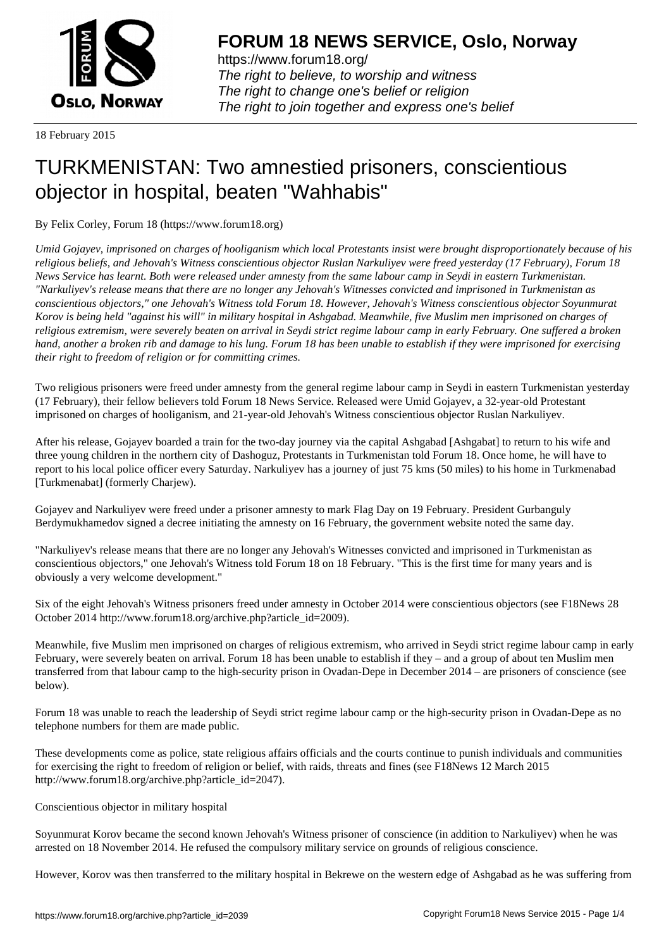

https://www.forum18.org/ The right to believe, to worship and witness The right to change one's belief or religion [The right to join together a](https://www.forum18.org/)nd express one's belief

18 February 2015

## [TURKMENISTA](https://www.forum18.org)N: Two amnestied prisoners, conscientious objector in hospital, beaten "Wahhabis"

By Felix Corley, Forum 18 (https://www.forum18.org)

*Umid Gojayev, imprisoned on charges of hooliganism which local Protestants insist were brought disproportionately because of his religious beliefs, and Jehovah's Witness conscientious objector Ruslan Narkuliyev were freed yesterday (17 February), Forum 18 News Service has learnt. Both were released under amnesty from the same labour camp in Seydi in eastern Turkmenistan. "Narkuliyev's release means that there are no longer any Jehovah's Witnesses convicted and imprisoned in Turkmenistan as conscientious objectors," one Jehovah's Witness told Forum 18. However, Jehovah's Witness conscientious objector Soyunmurat Korov is being held "against his will" in military hospital in Ashgabad. Meanwhile, five Muslim men imprisoned on charges of religious extremism, were severely beaten on arrival in Seydi strict regime labour camp in early February. One suffered a broken hand, another a broken rib and damage to his lung. Forum 18 has been unable to establish if they were imprisoned for exercising their right to freedom of religion or for committing crimes.*

Two religious prisoners were freed under amnesty from the general regime labour camp in Seydi in eastern Turkmenistan yesterday (17 February), their fellow believers told Forum 18 News Service. Released were Umid Gojayev, a 32-year-old Protestant imprisoned on charges of hooliganism, and 21-year-old Jehovah's Witness conscientious objector Ruslan Narkuliyev.

After his release, Gojayev boarded a train for the two-day journey via the capital Ashgabad [Ashgabat] to return to his wife and three young children in the northern city of Dashoguz, Protestants in Turkmenistan told Forum 18. Once home, he will have to report to his local police officer every Saturday. Narkuliyev has a journey of just 75 kms (50 miles) to his home in Turkmenabad [Turkmenabat] (formerly Charjew).

Gojayev and Narkuliyev were freed under a prisoner amnesty to mark Flag Day on 19 February. President Gurbanguly Berdymukhamedov signed a decree initiating the amnesty on 16 February, the government website noted the same day.

"Narkuliyev's release means that there are no longer any Jehovah's Witnesses convicted and imprisoned in Turkmenistan as conscientious objectors," one Jehovah's Witness told Forum 18 on 18 February. "This is the first time for many years and is obviously a very welcome development."

Six of the eight Jehovah's Witness prisoners freed under amnesty in October 2014 were conscientious objectors (see F18News 28 October 2014 http://www.forum18.org/archive.php?article\_id=2009).

Meanwhile, five Muslim men imprisoned on charges of religious extremism, who arrived in Seydi strict regime labour camp in early February, were severely beaten on arrival. Forum 18 has been unable to establish if they – and a group of about ten Muslim men transferred from that labour camp to the high-security prison in Ovadan-Depe in December 2014 – are prisoners of conscience (see below).

Forum 18 was unable to reach the leadership of Seydi strict regime labour camp or the high-security prison in Ovadan-Depe as no telephone numbers for them are made public.

These developments come as police, state religious affairs officials and the courts continue to punish individuals and communities for exercising the right to freedom of religion or belief, with raids, threats and fines (see F18News 12 March 2015 http://www.forum18.org/archive.php?article\_id=2047).

Conscientious objector in military hospital

Soyunmurat Korov became the second known Jehovah's Witness prisoner of conscience (in addition to Narkuliyev) when he was arrested on 18 November 2014. He refused the compulsory military service on grounds of religious conscience.

However, Korov was then transferred to the military hospital in Bekrewe on the western edge of Ashgabad as he was suffering from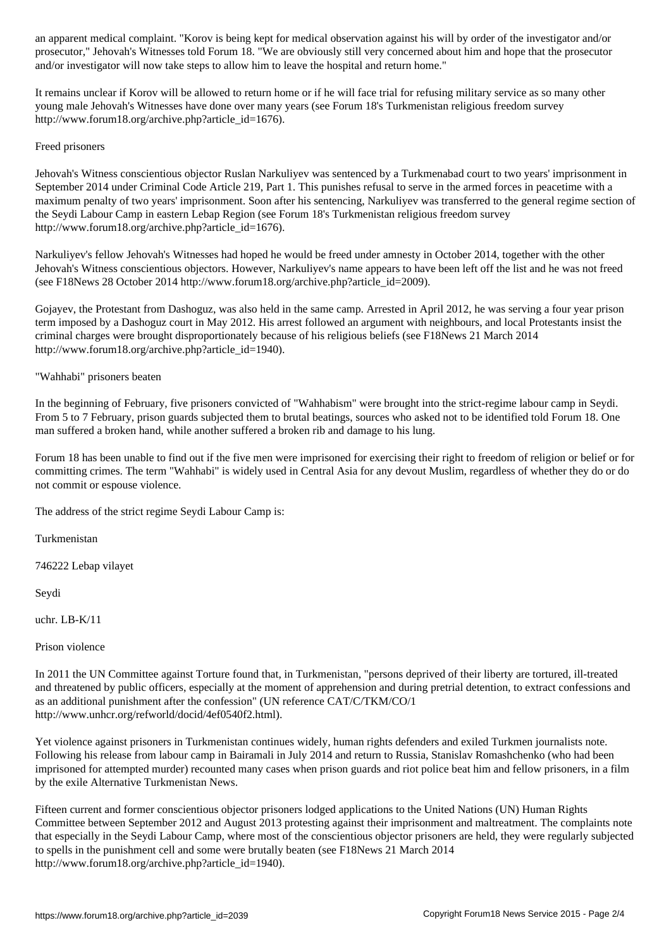prosecutor," Jehovah's Witnesses told Forum 18. "We are obviously still very concerned about him and hope that the prosecutor and/or investigator will now take steps to allow him to leave the hospital and return home."

It remains unclear if Korov will be allowed to return home or if he will face trial for refusing military service as so many other young male Jehovah's Witnesses have done over many years (see Forum 18's Turkmenistan religious freedom survey http://www.forum18.org/archive.php?article\_id=1676).

## Freed prisoners

Jehovah's Witness conscientious objector Ruslan Narkuliyev was sentenced by a Turkmenabad court to two years' imprisonment in September 2014 under Criminal Code Article 219, Part 1. This punishes refusal to serve in the armed forces in peacetime with a maximum penalty of two years' imprisonment. Soon after his sentencing, Narkuliyev was transferred to the general regime section of the Seydi Labour Camp in eastern Lebap Region (see Forum 18's Turkmenistan religious freedom survey http://www.forum18.org/archive.php?article\_id=1676).

Narkuliyev's fellow Jehovah's Witnesses had hoped he would be freed under amnesty in October 2014, together with the other Jehovah's Witness conscientious objectors. However, Narkuliyev's name appears to have been left off the list and he was not freed (see F18News 28 October 2014 http://www.forum18.org/archive.php?article\_id=2009).

Gojayev, the Protestant from Dashoguz, was also held in the same camp. Arrested in April 2012, he was serving a four year prison term imposed by a Dashoguz court in May 2012. His arrest followed an argument with neighbours, and local Protestants insist the criminal charges were brought disproportionately because of his religious beliefs (see F18News 21 March 2014 http://www.forum18.org/archive.php?article\_id=1940).

## "Wahhabi" prisoners beaten

In the beginning of February, five prisoners convicted of "Wahhabism" were brought into the strict-regime labour camp in Seydi. From 5 to 7 February, prison guards subjected them to brutal beatings, sources who asked not to be identified told Forum 18. One man suffered a broken hand, while another suffered a broken rib and damage to his lung.

Forum 18 has been unable to find out if the five men were imprisoned for exercising their right to freedom of religion or belief or for committing crimes. The term "Wahhabi" is widely used in Central Asia for any devout Muslim, regardless of whether they do or do not commit or espouse violence.

The address of the strict regime Seydi Labour Camp is:

Turkmenistan

746222 Lebap vilayet

Seydi

uchr. LB-K/11

Prison violence

In 2011 the UN Committee against Torture found that, in Turkmenistan, "persons deprived of their liberty are tortured, ill-treated and threatened by public officers, especially at the moment of apprehension and during pretrial detention, to extract confessions and as an additional punishment after the confession" (UN reference CAT/C/TKM/CO/1 http://www.unhcr.org/refworld/docid/4ef0540f2.html).

Yet violence against prisoners in Turkmenistan continues widely, human rights defenders and exiled Turkmen journalists note. Following his release from labour camp in Bairamali in July 2014 and return to Russia, Stanislav Romashchenko (who had been imprisoned for attempted murder) recounted many cases when prison guards and riot police beat him and fellow prisoners, in a film by the exile Alternative Turkmenistan News.

Fifteen current and former conscientious objector prisoners lodged applications to the United Nations (UN) Human Rights Committee between September 2012 and August 2013 protesting against their imprisonment and maltreatment. The complaints note that especially in the Seydi Labour Camp, where most of the conscientious objector prisoners are held, they were regularly subjected to spells in the punishment cell and some were brutally beaten (see F18News 21 March 2014 http://www.forum18.org/archive.php?article\_id=1940).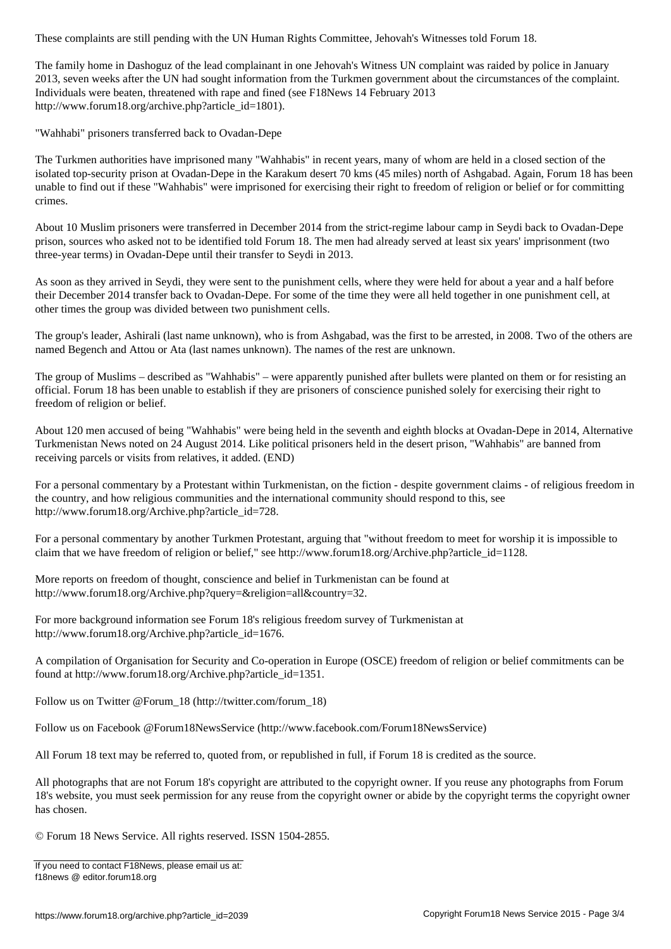The family home in Dashoguz of the lead complainant in one Jehovah's Witness UN complaint was raided by police in January 2013, seven weeks after the UN had sought information from the Turkmen government about the circumstances of the complaint. Individuals were beaten, threatened with rape and fined (see F18News 14 February 2013 http://www.forum18.org/archive.php?article\_id=1801).

"Wahhabi" prisoners transferred back to Ovadan-Depe

The Turkmen authorities have imprisoned many "Wahhabis" in recent years, many of whom are held in a closed section of the isolated top-security prison at Ovadan-Depe in the Karakum desert 70 kms (45 miles) north of Ashgabad. Again, Forum 18 has been unable to find out if these "Wahhabis" were imprisoned for exercising their right to freedom of religion or belief or for committing crimes.

About 10 Muslim prisoners were transferred in December 2014 from the strict-regime labour camp in Seydi back to Ovadan-Depe prison, sources who asked not to be identified told Forum 18. The men had already served at least six years' imprisonment (two three-year terms) in Ovadan-Depe until their transfer to Seydi in 2013.

As soon as they arrived in Seydi, they were sent to the punishment cells, where they were held for about a year and a half before their December 2014 transfer back to Ovadan-Depe. For some of the time they were all held together in one punishment cell, at other times the group was divided between two punishment cells.

The group's leader, Ashirali (last name unknown), who is from Ashgabad, was the first to be arrested, in 2008. Two of the others are named Begench and Attou or Ata (last names unknown). The names of the rest are unknown.

The group of Muslims – described as "Wahhabis" – were apparently punished after bullets were planted on them or for resisting an official. Forum 18 has been unable to establish if they are prisoners of conscience punished solely for exercising their right to freedom of religion or belief.

About 120 men accused of being "Wahhabis" were being held in the seventh and eighth blocks at Ovadan-Depe in 2014, Alternative Turkmenistan News noted on 24 August 2014. Like political prisoners held in the desert prison, "Wahhabis" are banned from receiving parcels or visits from relatives, it added. (END)

For a personal commentary by a Protestant within Turkmenistan, on the fiction - despite government claims - of religious freedom in the country, and how religious communities and the international community should respond to this, see http://www.forum18.org/Archive.php?article\_id=728.

For a personal commentary by another Turkmen Protestant, arguing that "without freedom to meet for worship it is impossible to claim that we have freedom of religion or belief," see http://www.forum18.org/Archive.php?article\_id=1128.

More reports on freedom of thought, conscience and belief in Turkmenistan can be found at http://www.forum18.org/Archive.php?query=&religion=all&country=32.

For more background information see Forum 18's religious freedom survey of Turkmenistan at http://www.forum18.org/Archive.php?article\_id=1676.

A compilation of Organisation for Security and Co-operation in Europe (OSCE) freedom of religion or belief commitments can be found at http://www.forum18.org/Archive.php?article\_id=1351.

Follow us on Twitter @Forum\_18 (http://twitter.com/forum\_18)

Follow us on Facebook @Forum18NewsService (http://www.facebook.com/Forum18NewsService)

All Forum 18 text may be referred to, quoted from, or republished in full, if Forum 18 is credited as the source.

All photographs that are not Forum 18's copyright are attributed to the copyright owner. If you reuse any photographs from Forum 18's website, you must seek permission for any reuse from the copyright owner or abide by the copyright terms the copyright owner has chosen.

© Forum 18 News Service. All rights reserved. ISSN 1504-2855.

If you need to contact F18News, please email us at: f18news @ editor.forum18.org